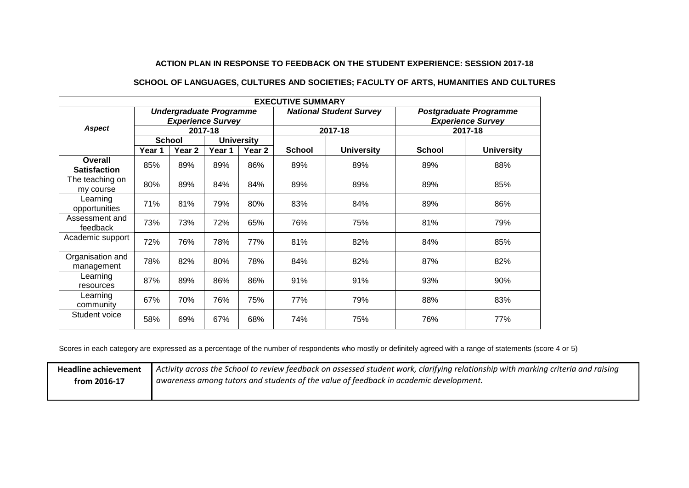## **ACTION PLAN IN RESPONSE TO FEEDBACK ON THE STUDENT EXPERIENCE: SESSION 2017-18**

## **SCHOOL OF LANGUAGES, CULTURES AND SOCIETIES; FACULTY OF ARTS, HUMANITIES AND CULTURES**

| <b>EXECUTIVE SUMMARY</b>       |                                                            |                   |                   |                                |               |                                                           |               |                   |
|--------------------------------|------------------------------------------------------------|-------------------|-------------------|--------------------------------|---------------|-----------------------------------------------------------|---------------|-------------------|
| <b>Aspect</b>                  | <b>Undergraduate Programme</b><br><b>Experience Survey</b> |                   |                   | <b>National Student Survey</b> |               | <b>Postgraduate Programme</b><br><b>Experience Survey</b> |               |                   |
|                                | 2017-18                                                    |                   |                   | 2017-18                        |               | 2017-18                                                   |               |                   |
|                                | <b>School</b>                                              |                   | <b>University</b> |                                |               |                                                           |               |                   |
|                                | Year 1                                                     | Year <sub>2</sub> | Year 1            | Year 2                         | <b>School</b> | <b>University</b>                                         | <b>School</b> | <b>University</b> |
| Overall<br><b>Satisfaction</b> | 85%                                                        | 89%               | 89%               | 86%                            | 89%           | 89%                                                       | 89%           | 88%               |
| The teaching on<br>my course   | 80%                                                        | 89%               | 84%               | 84%                            | 89%           | 89%                                                       | 89%           | 85%               |
| Learning<br>opportunities      | 71%                                                        | 81%               | 79%               | 80%                            | 83%           | 84%                                                       | 89%           | 86%               |
| Assessment and<br>feedback     | 73%                                                        | 73%               | 72%               | 65%                            | 76%           | 75%                                                       | 81%           | 79%               |
| Academic support               | 72%                                                        | 76%               | 78%               | 77%                            | 81%           | 82%                                                       | 84%           | 85%               |
| Organisation and<br>management | 78%                                                        | 82%               | 80%               | 78%                            | 84%           | 82%                                                       | 87%           | 82%               |
| Learning<br>resources          | 87%                                                        | 89%               | 86%               | 86%                            | 91%           | 91%                                                       | 93%           | 90%               |
| Learning<br>community          | 67%                                                        | 70%               | 76%               | 75%                            | 77%           | 79%                                                       | 88%           | 83%               |
| Student voice                  | 58%                                                        | 69%               | 67%               | 68%                            | 74%           | 75%                                                       | 76%           | 77%               |

Scores in each category are expressed as a percentage of the number of respondents who mostly or definitely agreed with a range of statements (score 4 or 5)

**Headline achievement from 2016-17** *Activity across the School to review feedback on assessed student work, clarifying relationship with marking criteria and raising awareness among tutors and students of the value of feedback in academic development.*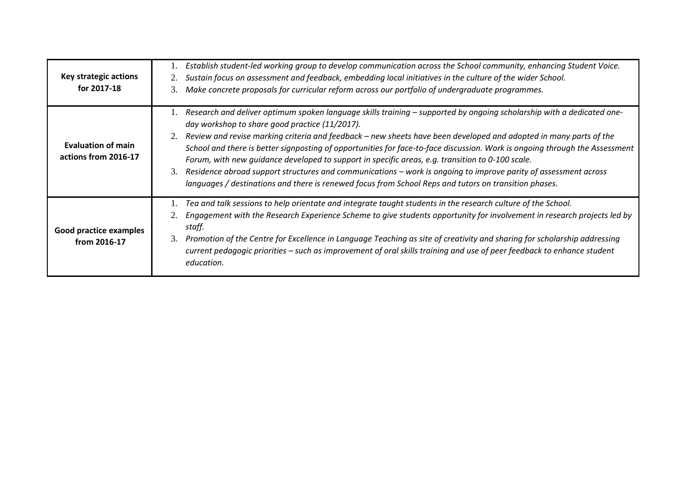| Key strategic actions<br>for 2017-18              | Establish student-led working group to develop communication across the School community, enhancing Student Voice.<br>Sustain focus on assessment and feedback, embedding local initiatives in the culture of the wider School.<br>Make concrete proposals for curricular reform across our portfolio of undergraduate programmes.<br>3.                                                                                                                                                                                                                                                                                                                                                                                                                                |
|---------------------------------------------------|-------------------------------------------------------------------------------------------------------------------------------------------------------------------------------------------------------------------------------------------------------------------------------------------------------------------------------------------------------------------------------------------------------------------------------------------------------------------------------------------------------------------------------------------------------------------------------------------------------------------------------------------------------------------------------------------------------------------------------------------------------------------------|
| <b>Evaluation of main</b><br>actions from 2016-17 | Research and deliver optimum spoken language skills training - supported by ongoing scholarship with a dedicated one-<br>day workshop to share good practice (11/2017).<br>Review and revise marking criteria and feedback - new sheets have been developed and adopted in many parts of the<br>2.<br>School and there is better signposting of opportunities for face-to-face discussion. Work is ongoing through the Assessment<br>Forum, with new guidance developed to support in specific areas, e.g. transition to 0-100 scale.<br>Residence abroad support structures and communications - work is ongoing to improve parity of assessment across<br>3.<br>languages / destinations and there is renewed focus from School Reps and tutors on transition phases. |
| Good practice examples<br>from 2016-17            | Tea and talk sessions to help orientate and integrate taught students in the research culture of the School.<br>Engagement with the Research Experience Scheme to give students opportunity for involvement in research projects led by<br>staff.<br>Promotion of the Centre for Excellence in Language Teaching as site of creativity and sharing for scholarship addressing<br>3.<br>current pedagogic priorities – such as improvement of oral skills training and use of peer feedback to enhance student<br>education.                                                                                                                                                                                                                                             |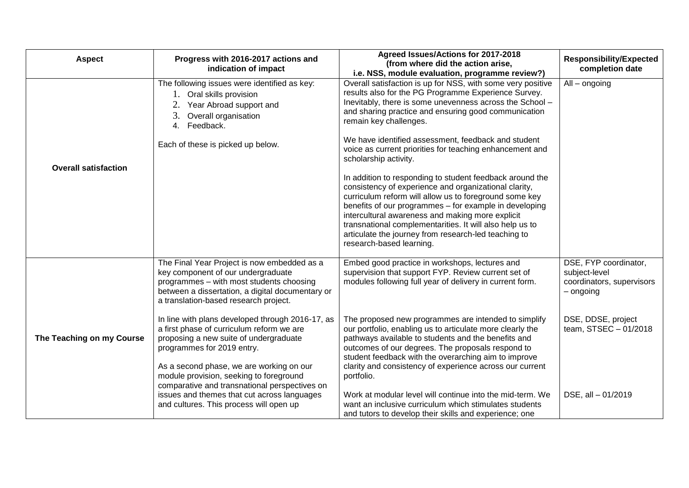| <b>Aspect</b>               | Progress with 2016-2017 actions and<br>indication of impact                                                                                                                                                                                                                                                   | Agreed Issues/Actions for 2017-2018<br>(from where did the action arise,<br>i.e. NSS, module evaluation, programme review?)                                                                                                                                                                                                                                                                                                               | <b>Responsibility/Expected</b><br>completion date                                |
|-----------------------------|---------------------------------------------------------------------------------------------------------------------------------------------------------------------------------------------------------------------------------------------------------------------------------------------------------------|-------------------------------------------------------------------------------------------------------------------------------------------------------------------------------------------------------------------------------------------------------------------------------------------------------------------------------------------------------------------------------------------------------------------------------------------|----------------------------------------------------------------------------------|
|                             | The following issues were identified as key:<br>1. Oral skills provision<br>Year Abroad support and<br>3.<br>Overall organisation<br>4. Feedback.                                                                                                                                                             | Overall satisfaction is up for NSS, with some very positive<br>results also for the PG Programme Experience Survey.<br>Inevitably, there is some unevenness across the School -<br>and sharing practice and ensuring good communication<br>remain key challenges.                                                                                                                                                                         | All - ongoing                                                                    |
| <b>Overall satisfaction</b> | Each of these is picked up below.                                                                                                                                                                                                                                                                             | We have identified assessment, feedback and student<br>voice as current priorities for teaching enhancement and<br>scholarship activity.                                                                                                                                                                                                                                                                                                  |                                                                                  |
|                             |                                                                                                                                                                                                                                                                                                               | In addition to responding to student feedback around the<br>consistency of experience and organizational clarity,<br>curriculum reform will allow us to foreground some key<br>benefits of our programmes - for example in developing<br>intercultural awareness and making more explicit<br>transnational complementarities. It will also help us to<br>articulate the journey from research-led teaching to<br>research-based learning. |                                                                                  |
|                             | The Final Year Project is now embedded as a<br>key component of our undergraduate<br>programmes - with most students choosing<br>between a dissertation, a digital documentary or<br>a translation-based research project.                                                                                    | Embed good practice in workshops, lectures and<br>supervision that support FYP. Review current set of<br>modules following full year of delivery in current form.                                                                                                                                                                                                                                                                         | DSE, FYP coordinator,<br>subject-level<br>coordinators, supervisors<br>- ongoing |
| The Teaching on my Course   | In line with plans developed through 2016-17, as<br>a first phase of curriculum reform we are<br>proposing a new suite of undergraduate<br>programmes for 2019 entry.<br>As a second phase, we are working on our<br>module provision, seeking to foreground<br>comparative and transnational perspectives on | The proposed new programmes are intended to simplify<br>our portfolio, enabling us to articulate more clearly the<br>pathways available to students and the benefits and<br>outcomes of our degrees. The proposals respond to<br>student feedback with the overarching aim to improve<br>clarity and consistency of experience across our current<br>portfolio.                                                                           | DSE, DDSE, project<br>team, STSEC - 01/2018                                      |
|                             | issues and themes that cut across languages<br>and cultures. This process will open up                                                                                                                                                                                                                        | Work at modular level will continue into the mid-term. We<br>want an inclusive curriculum which stimulates students<br>and tutors to develop their skills and experience; one                                                                                                                                                                                                                                                             | DSE, all - 01/2019                                                               |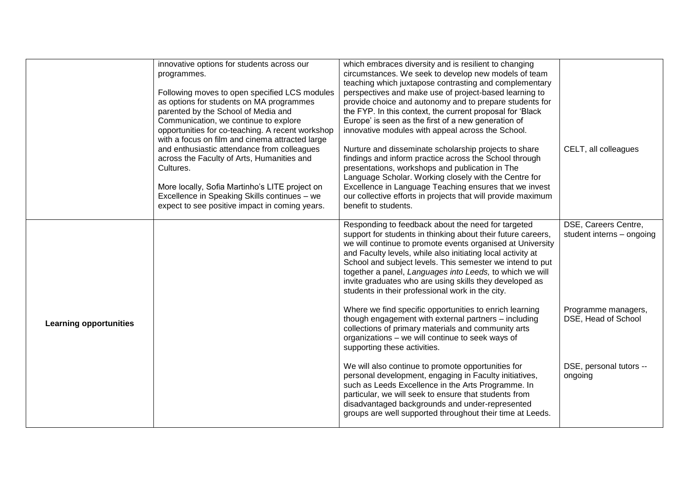|                               | innovative options for students across our<br>programmes.                    | which embraces diversity and is resilient to changing<br>circumstances. We seek to develop new models of team       |                                                   |
|-------------------------------|------------------------------------------------------------------------------|---------------------------------------------------------------------------------------------------------------------|---------------------------------------------------|
|                               |                                                                              | teaching which juxtapose contrasting and complementary                                                              |                                                   |
|                               | Following moves to open specified LCS modules                                | perspectives and make use of project-based learning to                                                              |                                                   |
|                               | as options for students on MA programmes                                     | provide choice and autonomy and to prepare students for                                                             |                                                   |
|                               | parented by the School of Media and<br>Communication, we continue to explore | the FYP. In this context, the current proposal for 'Black<br>Europe' is seen as the first of a new generation of    |                                                   |
|                               | opportunities for co-teaching. A recent workshop                             | innovative modules with appeal across the School.                                                                   |                                                   |
|                               | with a focus on film and cinema attracted large                              |                                                                                                                     |                                                   |
|                               | and enthusiastic attendance from colleagues                                  | Nurture and disseminate scholarship projects to share                                                               | CELT, all colleagues                              |
|                               | across the Faculty of Arts, Humanities and                                   | findings and inform practice across the School through                                                              |                                                   |
|                               | Cultures.                                                                    | presentations, workshops and publication in The                                                                     |                                                   |
|                               | More locally, Sofia Martinho's LITE project on                               | Language Scholar. Working closely with the Centre for<br>Excellence in Language Teaching ensures that we invest     |                                                   |
|                               | Excellence in Speaking Skills continues - we                                 | our collective efforts in projects that will provide maximum                                                        |                                                   |
|                               | expect to see positive impact in coming years.                               | benefit to students.                                                                                                |                                                   |
|                               |                                                                              |                                                                                                                     |                                                   |
|                               |                                                                              | Responding to feedback about the need for targeted<br>support for students in thinking about their future careers,  | DSE, Careers Centre,<br>student interns - ongoing |
|                               |                                                                              | we will continue to promote events organised at University                                                          |                                                   |
|                               |                                                                              | and Faculty levels, while also initiating local activity at                                                         |                                                   |
|                               |                                                                              | School and subject levels. This semester we intend to put                                                           |                                                   |
|                               |                                                                              | together a panel, Languages into Leeds, to which we will<br>invite graduates who are using skills they developed as |                                                   |
|                               |                                                                              | students in their professional work in the city.                                                                    |                                                   |
|                               |                                                                              |                                                                                                                     |                                                   |
|                               |                                                                              | Where we find specific opportunities to enrich learning<br>though engagement with external partners - including     | Programme managers,<br>DSE, Head of School        |
| <b>Learning opportunities</b> |                                                                              | collections of primary materials and community arts                                                                 |                                                   |
|                               |                                                                              | organizations - we will continue to seek ways of                                                                    |                                                   |
|                               |                                                                              | supporting these activities.                                                                                        |                                                   |
|                               |                                                                              | We will also continue to promote opportunities for                                                                  | DSE, personal tutors --                           |
|                               |                                                                              | personal development, engaging in Faculty initiatives,                                                              | ongoing                                           |
|                               |                                                                              | such as Leeds Excellence in the Arts Programme. In                                                                  |                                                   |
|                               |                                                                              | particular, we will seek to ensure that students from<br>disadvantaged backgrounds and under-represented            |                                                   |
|                               |                                                                              | groups are well supported throughout their time at Leeds.                                                           |                                                   |
|                               |                                                                              |                                                                                                                     |                                                   |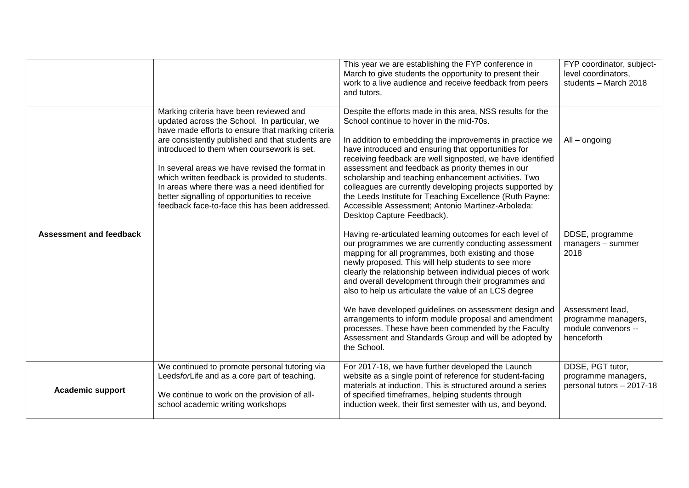|                                |                                                                                                                                                                                                                                                                                                                                                                                                                                                                                                          | This year we are establishing the FYP conference in<br>March to give students the opportunity to present their<br>work to a live audience and receive feedback from peers<br>and tutors.                                                                                                                                                                                                                                                                                                                                                                                                                         | FYP coordinator, subject-<br>level coordinators,<br>students - March 2018    |
|--------------------------------|----------------------------------------------------------------------------------------------------------------------------------------------------------------------------------------------------------------------------------------------------------------------------------------------------------------------------------------------------------------------------------------------------------------------------------------------------------------------------------------------------------|------------------------------------------------------------------------------------------------------------------------------------------------------------------------------------------------------------------------------------------------------------------------------------------------------------------------------------------------------------------------------------------------------------------------------------------------------------------------------------------------------------------------------------------------------------------------------------------------------------------|------------------------------------------------------------------------------|
|                                | Marking criteria have been reviewed and<br>updated across the School. In particular, we<br>have made efforts to ensure that marking criteria<br>are consistently published and that students are<br>introduced to them when coursework is set.<br>In several areas we have revised the format in<br>which written feedback is provided to students.<br>In areas where there was a need identified for<br>better signalling of opportunities to receive<br>feedback face-to-face this has been addressed. | Despite the efforts made in this area, NSS results for the<br>School continue to hover in the mid-70s.<br>In addition to embedding the improvements in practice we<br>have introduced and ensuring that opportunities for<br>receiving feedback are well signposted, we have identified<br>assessment and feedback as priority themes in our<br>scholarship and teaching enhancement activities. Two<br>colleagues are currently developing projects supported by<br>the Leeds Institute for Teaching Excellence (Ruth Payne:<br>Accessible Assessment; Antonio Martinez-Arboleda:<br>Desktop Capture Feedback). | All - ongoing                                                                |
| <b>Assessment and feedback</b> |                                                                                                                                                                                                                                                                                                                                                                                                                                                                                                          | Having re-articulated learning outcomes for each level of<br>our programmes we are currently conducting assessment<br>mapping for all programmes, both existing and those<br>newly proposed. This will help students to see more<br>clearly the relationship between individual pieces of work<br>and overall development through their programmes and<br>also to help us articulate the value of an LCS degree                                                                                                                                                                                                  | DDSE, programme<br>managers - summer<br>2018                                 |
|                                |                                                                                                                                                                                                                                                                                                                                                                                                                                                                                                          | We have developed guidelines on assessment design and<br>arrangements to inform module proposal and amendment<br>processes. These have been commended by the Faculty<br>Assessment and Standards Group and will be adopted by<br>the School.                                                                                                                                                                                                                                                                                                                                                                     | Assessment lead,<br>programme managers,<br>module convenors --<br>henceforth |
| <b>Academic support</b>        | We continued to promote personal tutoring via<br>LeedsforLife and as a core part of teaching.<br>We continue to work on the provision of all-<br>school academic writing workshops                                                                                                                                                                                                                                                                                                                       | For 2017-18, we have further developed the Launch<br>website as a single point of reference for student-facing<br>materials at induction. This is structured around a series<br>of specified timeframes, helping students through<br>induction week, their first semester with us, and beyond.                                                                                                                                                                                                                                                                                                                   | DDSE, PGT tutor,<br>programme managers,<br>personal tutors - 2017-18         |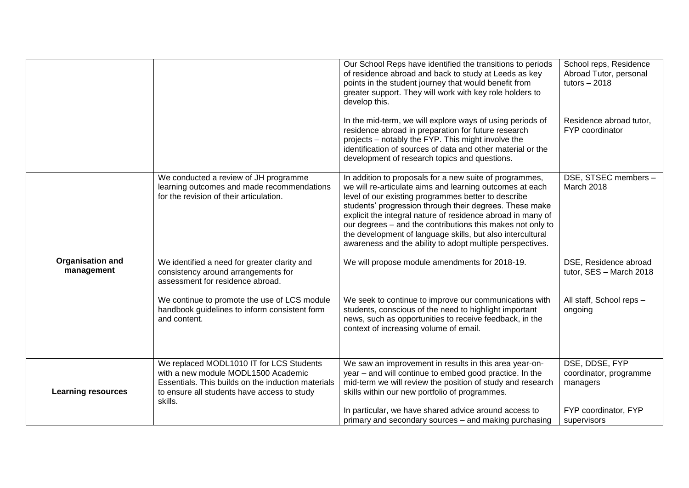|                                       |                                                                                                                                                                                                 | Our School Reps have identified the transitions to periods<br>of residence abroad and back to study at Leeds as key<br>points in the student journey that would benefit from<br>greater support. They will work with key role holders to<br>develop this.                                                                                                                                                                                                                                     | School reps, Residence<br>Abroad Tutor, personal<br>tutors $-2018$ |
|---------------------------------------|-------------------------------------------------------------------------------------------------------------------------------------------------------------------------------------------------|-----------------------------------------------------------------------------------------------------------------------------------------------------------------------------------------------------------------------------------------------------------------------------------------------------------------------------------------------------------------------------------------------------------------------------------------------------------------------------------------------|--------------------------------------------------------------------|
|                                       |                                                                                                                                                                                                 | In the mid-term, we will explore ways of using periods of<br>residence abroad in preparation for future research<br>projects - notably the FYP. This might involve the<br>identification of sources of data and other material or the<br>development of research topics and questions.                                                                                                                                                                                                        | Residence abroad tutor,<br>FYP coordinator                         |
|                                       | We conducted a review of JH programme<br>learning outcomes and made recommendations<br>for the revision of their articulation.                                                                  | In addition to proposals for a new suite of programmes,<br>we will re-articulate aims and learning outcomes at each<br>level of our existing programmes better to describe<br>students' progression through their degrees. These make<br>explicit the integral nature of residence abroad in many of<br>our degrees - and the contributions this makes not only to<br>the development of language skills, but also intercultural<br>awareness and the ability to adopt multiple perspectives. | DSE, STSEC members -<br>March 2018                                 |
| <b>Organisation and</b><br>management | We identified a need for greater clarity and<br>consistency around arrangements for<br>assessment for residence abroad.                                                                         | We will propose module amendments for 2018-19.                                                                                                                                                                                                                                                                                                                                                                                                                                                | DSE, Residence abroad<br>tutor, SES - March 2018                   |
|                                       | We continue to promote the use of LCS module<br>handbook guidelines to inform consistent form<br>and content.                                                                                   | We seek to continue to improve our communications with<br>students, conscious of the need to highlight important<br>news, such as opportunities to receive feedback, in the<br>context of increasing volume of email.                                                                                                                                                                                                                                                                         | All staff, School reps -<br>ongoing                                |
| <b>Learning resources</b>             | We replaced MODL1010 IT for LCS Students<br>with a new module MODL1500 Academic<br>Essentials. This builds on the induction materials<br>to ensure all students have access to study<br>skills. | We saw an improvement in results in this area year-on-<br>year - and will continue to embed good practice. In the<br>mid-term we will review the position of study and research<br>skills within our new portfolio of programmes.                                                                                                                                                                                                                                                             | DSE, DDSE, FYP<br>coordinator, programme<br>managers               |
|                                       |                                                                                                                                                                                                 | In particular, we have shared advice around access to<br>primary and secondary sources - and making purchasing                                                                                                                                                                                                                                                                                                                                                                                | FYP coordinator, FYP<br>supervisors                                |